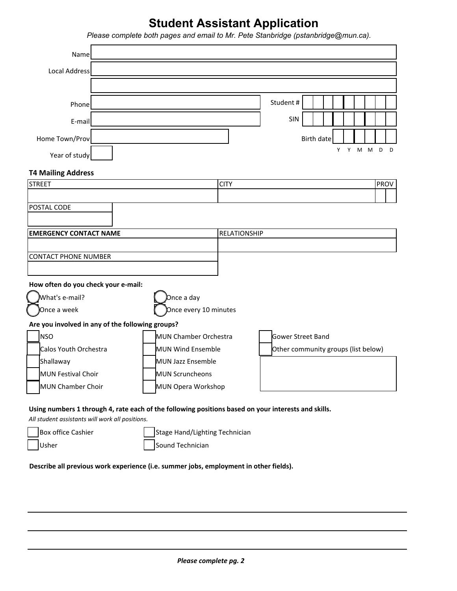## **Student Assistant Application**

|                                                  | Please complete both pages and email to Mr. Pete Stanbridge (pstanbridge@mun.ca). |                   |                                     |                   |    |        |   |        |
|--------------------------------------------------|-----------------------------------------------------------------------------------|-------------------|-------------------------------------|-------------------|----|--------|---|--------|
| Name                                             |                                                                                   |                   |                                     |                   |    |        |   |        |
| <b>Local Address</b>                             |                                                                                   |                   |                                     |                   |    |        |   |        |
|                                                  |                                                                                   |                   |                                     |                   |    |        |   |        |
| Phone                                            |                                                                                   |                   | Student#                            |                   |    |        |   |        |
| E-mail                                           |                                                                                   |                   | SIN                                 |                   |    |        |   |        |
|                                                  |                                                                                   |                   |                                     |                   |    |        |   |        |
| Home Town/Prov                                   |                                                                                   |                   |                                     | <b>Birth date</b> | Y. |        |   | D<br>D |
| Year of study                                    |                                                                                   |                   |                                     |                   |    | Y<br>M | M |        |
| <b>T4 Mailing Address</b>                        |                                                                                   |                   |                                     |                   |    |        |   |        |
| <b>STREET</b>                                    |                                                                                   | <b>CITY</b>       |                                     |                   |    |        |   | PROV   |
|                                                  |                                                                                   |                   |                                     |                   |    |        |   |        |
| POSTAL CODE                                      |                                                                                   |                   |                                     |                   |    |        |   |        |
| <b>EMERGENCY CONTACT NAME</b>                    |                                                                                   | RELATIONSHIP      |                                     |                   |    |        |   |        |
|                                                  |                                                                                   |                   |                                     |                   |    |        |   |        |
| <b>CONTACT PHONE NUMBER</b>                      |                                                                                   |                   |                                     |                   |    |        |   |        |
|                                                  |                                                                                   |                   |                                     |                   |    |        |   |        |
| How often do you check your e-mail:              |                                                                                   |                   |                                     |                   |    |        |   |        |
| What's e-mail?                                   | Once a day                                                                        |                   |                                     |                   |    |        |   |        |
| Once a week                                      | Once every 10 minutes                                                             |                   |                                     |                   |    |        |   |        |
| Are you involved in any of the following groups? |                                                                                   |                   |                                     |                   |    |        |   |        |
| <b>NSO</b>                                       | MUN Chamber Orchestra                                                             | Gower Street Band |                                     |                   |    |        |   |        |
| Calos Youth Orchestra                            | <b>MUN Wind Ensemble</b>                                                          |                   | Other community groups (list below) |                   |    |        |   |        |
| Shallaway                                        | <b>MUN Jazz Ensemble</b>                                                          |                   |                                     |                   |    |        |   |        |
| MUN Festival Choir                               | <b>MUN Scruncheons</b>                                                            |                   |                                     |                   |    |        |   |        |
| MUN Chamber Choir                                | MUN Opera Workshop                                                                |                   |                                     |                   |    |        |   |        |

## **Using numbers 1 through 4, rate each of the following positions based on your interests and skills.**

*All student assistants will work all positions.*

| Box office Cashier | Stage Hand/Lighting Technician |
|--------------------|--------------------------------|
| Usher              | Sound Technician               |

**Describe all previous work experience (i.e. summer jobs, employment in other fields).**